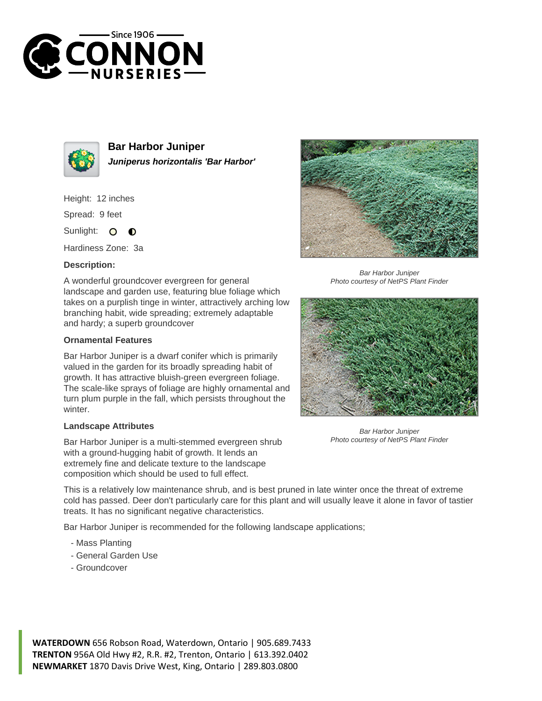



**Bar Harbor Juniper Juniperus horizontalis 'Bar Harbor'**

Height: 12 inches

Spread: 9 feet

Sunlight: O  $\bullet$ 

Hardiness Zone: 3a

## **Description:**

A wonderful groundcover evergreen for general landscape and garden use, featuring blue foliage which takes on a purplish tinge in winter, attractively arching low branching habit, wide spreading; extremely adaptable and hardy; a superb groundcover

## **Ornamental Features**

Bar Harbor Juniper is a dwarf conifer which is primarily valued in the garden for its broadly spreading habit of growth. It has attractive bluish-green evergreen foliage. The scale-like sprays of foliage are highly ornamental and turn plum purple in the fall, which persists throughout the winter.

## **Landscape Attributes**

Bar Harbor Juniper is a multi-stemmed evergreen shrub with a ground-hugging habit of growth. It lends an extremely fine and delicate texture to the landscape composition which should be used to full effect.

This is a relatively low maintenance shrub, and is best pruned in late winter once the threat of extreme cold has passed. Deer don't particularly care for this plant and will usually leave it alone in favor of tastier treats. It has no significant negative characteristics.

Bar Harbor Juniper is recommended for the following landscape applications;

- Mass Planting
- General Garden Use
- Groundcover



Bar Harbor Juniper Photo courtesy of NetPS Plant Finder



Bar Harbor Juniper Photo courtesy of NetPS Plant Finder

**WATERDOWN** 656 Robson Road, Waterdown, Ontario | 905.689.7433 **TRENTON** 956A Old Hwy #2, R.R. #2, Trenton, Ontario | 613.392.0402 **NEWMARKET** 1870 Davis Drive West, King, Ontario | 289.803.0800